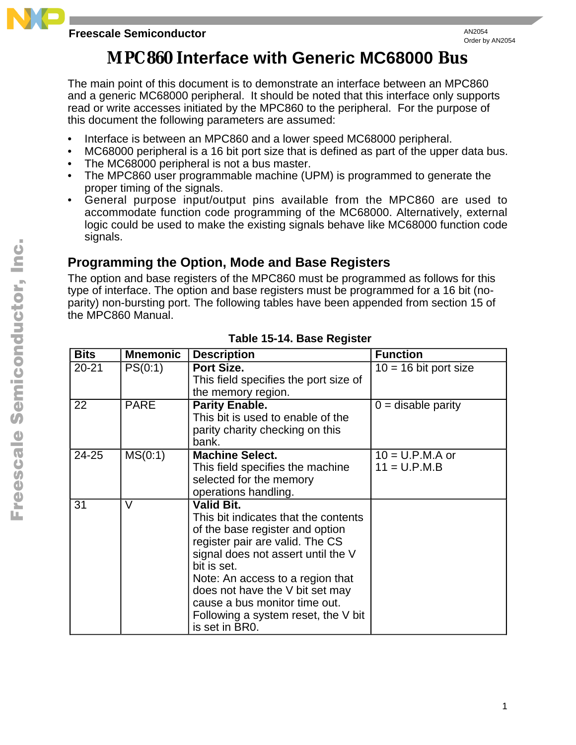#### **Freescale Semiconductor**

# **MPC860 Interface with Generic MC68000 Bus**

The main point of this document is to demonstrate an interface between an MPC860 and a generic MC68000 peripheral. It should be noted that this interface only supports read or write accesses initiated by the MPC860 to the peripheral. For the purpose of this document the following parameters are assumed:

- Interface is between an MPC860 and a lower speed MC68000 peripheral.
- MC68000 peripheral is a 16 bit port size that is defined as part of the upper data bus.
- The MC68000 peripheral is not a bus master.
- The MPC860 user programmable machine (UPM) is programmed to generate the proper timing of the signals.
- General purpose input/output pins available from the MPC860 are used to accommodate function code programming of the MC68000. Alternatively, external logic could be used to make the existing signals behave like MC68000 function code signals.

## **Programming the Option, Mode and Base Registers**

The option and base registers of the MPC860 must be programmed as follows for this type of interface. The option and base registers must be programmed for a 16 bit (noparity) non-bursting port. The following tables have been appended from section 15 of the MPC860 Manual.

| <b>Bits</b> | <b>Mnemonic</b> | <b>Description</b>                                                                                                                                                                                                                                                                                                                                    | <b>Function</b>                     |
|-------------|-----------------|-------------------------------------------------------------------------------------------------------------------------------------------------------------------------------------------------------------------------------------------------------------------------------------------------------------------------------------------------------|-------------------------------------|
| $20 - 21$   | PS(0:1)         | Port Size.<br>This field specifies the port size of<br>the memory region.                                                                                                                                                                                                                                                                             | $10 = 16$ bit port size             |
| 22          | <b>PARE</b>     | <b>Parity Enable.</b><br>This bit is used to enable of the<br>parity charity checking on this<br>bank.                                                                                                                                                                                                                                                | $0 =$ disable parity                |
| 24-25       | MS(0:1)         | <b>Machine Select.</b><br>This field specifies the machine<br>selected for the memory<br>operations handling.                                                                                                                                                                                                                                         | $10 = U.P.M.A$ or<br>$11 = U.P.M.B$ |
| 31          | V               | <b>Valid Bit.</b><br>This bit indicates that the contents<br>of the base register and option<br>register pair are valid. The CS<br>signal does not assert until the V<br>bit is set.<br>Note: An access to a region that<br>does not have the V bit set may<br>cause a bus monitor time out.<br>Following a system reset, the V bit<br>is set in BR0. |                                     |

### **Table 15-14. Base Register**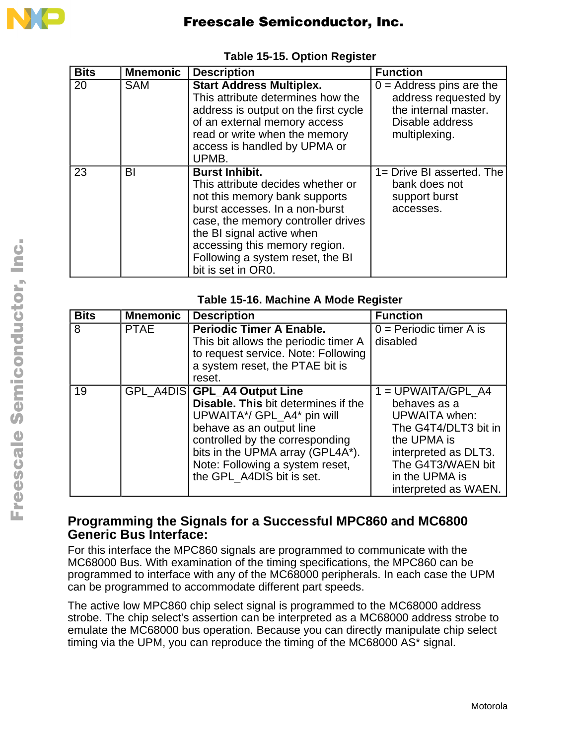

| <b>Bits</b> | <b>Mnemonic</b> | <b>Description</b>                                                                                                                                                                                                                                                                          | <b>Function</b>                                                                                                |
|-------------|-----------------|---------------------------------------------------------------------------------------------------------------------------------------------------------------------------------------------------------------------------------------------------------------------------------------------|----------------------------------------------------------------------------------------------------------------|
| 20          | <b>SAM</b>      | <b>Start Address Multiplex.</b><br>This attribute determines how the<br>address is output on the first cycle<br>of an external memory access<br>read or write when the memory<br>access is handled by UPMA or<br>UPMB.                                                                      | $0 =$ Address pins are the<br>address requested by<br>the internal master.<br>Disable address<br>multiplexing. |
| 23          | BI              | <b>Burst Inhibit.</b><br>This attribute decides whether or<br>not this memory bank supports<br>burst accesses. In a non-burst<br>case, the memory controller drives<br>the BI signal active when<br>accessing this memory region.<br>Following a system reset, the BI<br>bit is set in OR0. | 1= Drive BI asserted. The<br>bank does not<br>support burst<br>accesses.                                       |

#### **Table 15-15. Option Register**

| <b>Bits</b> | <b>Mnemonic</b> | <b>Description</b>                            | <b>Function</b>           |
|-------------|-----------------|-----------------------------------------------|---------------------------|
| 8           | <b>PTAE</b>     | <b>Periodic Timer A Enable.</b>               | $0 =$ Periodic timer A is |
|             |                 | This bit allows the periodic timer A          | disabled                  |
|             |                 | to request service. Note: Following           |                           |
|             |                 | a system reset, the PTAE bit is               |                           |
|             |                 | reset.                                        |                           |
| 19          |                 | GPL_A4DIS GPL_A4 Output Line                  | $1 = UPWAITA/GPL A4$      |
|             |                 | <b>Disable. This bit determines if the</b>    | behaves as a              |
|             |                 | UPWAITA*/ GPL_A4* pin will                    | <b>UPWAITA</b> when:      |
|             |                 | behave as an output line                      | The G4T4/DLT3 bit in      |
|             |                 | controlled by the corresponding               | the UPMA is               |
|             |                 | bits in the UPMA array (GPL4A <sup>*</sup> ). | interpreted as DLT3.      |
|             |                 | Note: Following a system reset,               | The G4T3/WAEN bit         |
|             |                 | the GPL_A4DIS bit is set.                     | in the UPMA is            |
|             |                 |                                               | interpreted as WAEN.      |

#### **Programming the Signals for a Successful MPC860 and MC6800 Generic Bus Interface:**

For this interface the MPC860 signals are programmed to communicate with the MC68000 Bus. With examination of the timing specifications, the MPC860 can be programmed to interface with any of the MC68000 peripherals. In each case the UPM can be programmed to accommodate different part speeds.

The active low MPC860 chip select signal is programmed to the MC68000 address strobe. The chip select's assertion can be interpreted as a MC68000 address strobe to emulate the MC68000 bus operation. Because you can directly manipulate chip select timing via the UPM, you can reproduce the timing of the MC68000 AS\* signal.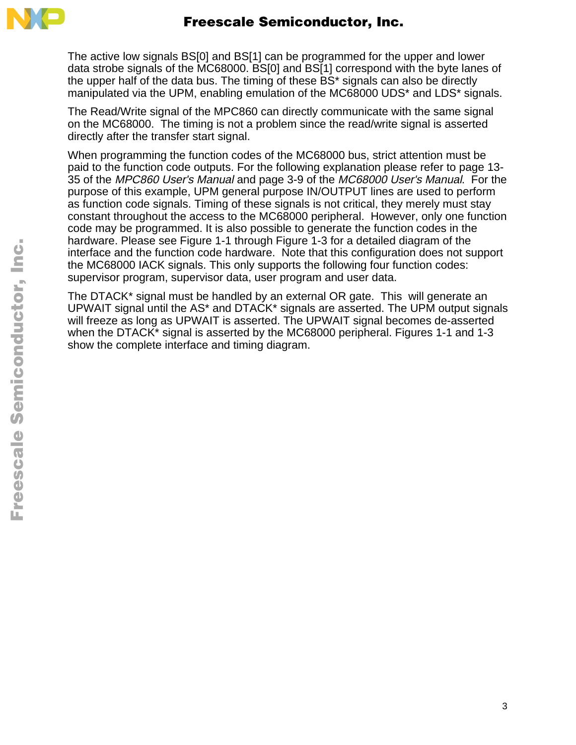

The active low signals BS[0] and BS[1] can be programmed for the upper and lower data strobe signals of the MC68000. BS[0] and BS[1] correspond with the byte lanes of the upper half of the data bus. The timing of these BS\* signals can also be directly manipulated via the UPM, enabling emulation of the MC68000 UDS\* and LDS\* signals.

The Read/Write signal of the MPC860 can directly communicate with the same signal on the MC68000. The timing is not a problem since the read/write signal is asserted directly after the transfer start signal.

When programming the function codes of the MC68000 bus, strict attention must be paid to the function code outputs. For the following explanation please refer to page 13- 35 of the MPC860 User's Manual and page 3-9 of the MC68000 User's Manual. For the purpose of this example, UPM general purpose IN/OUTPUT lines are used to perform as function code signals. Timing of these signals is not critical, they merely must stay constant throughout the access to the MC68000 peripheral. However, only one function code may be programmed. It is also possible to generate the function codes in the hardware. Please see Figure 1-1 through Figure 1-3 for a detailed diagram of the interface and the function code hardware. Note that this configuration does not support the MC68000 IACK signals. This only supports the following four function codes: supervisor program, supervisor data, user program and user data.

The DTACK\* signal must be handled by an external OR gate. This will generate an UPWAIT signal until the AS\* and DTACK\* signals are asserted. The UPM output signals will freeze as long as UPWAIT is asserted. The UPWAIT signal becomes de-asserted when the DTACK\* signal is asserted by the MC68000 peripheral. Figures 1-1 and 1-3 show the complete interface and timing diagram.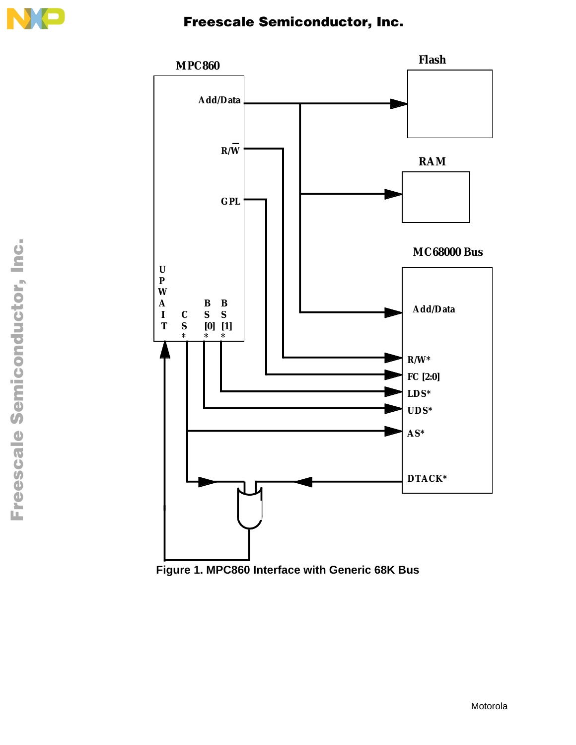